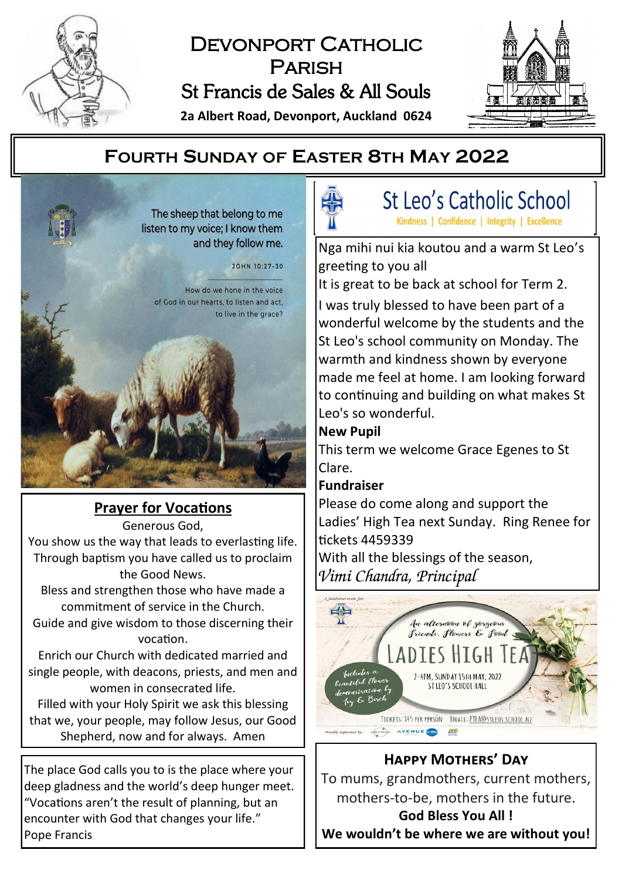

# DEVONPORT CATHOLIC **PARISH** St Francis de Sales & All Souls

**2a Albert Road, Devonport, Auckland 0624**



# **FOURTH SUNDAY OF EASTER 8TH MAY 2022**

The sheep that belong to me listen to my voice; I know them and they follow me.

JOHN 10:27-30

How do we hone in the voice of God in our hearts, to listen and act, to live in the grace?

**Prayer for Vocations** Generous God, You show us the way that leads to everlasting life. Through baptism you have called us to proclaim the Good News.

Bless and strengthen those who have made a commitment of service in the Church.

Guide and give wisdom to those discerning their vocation.

Enrich our Church with dedicated married and single people, with deacons, priests, and men and women in consecrated life.

Filled with your Holy Spirit we ask this blessing that we, your people, may follow Jesus, our Good Shepherd, now and for always. Amen

The place God calls you to is the place where your deep gladness and the world's deep hunger meet. "Vocations aren't the result of planning, but an encounter with God that changes your life." Pope Francis



St Leo's Catholic School Kindness | Confidence | Integrity | Excellence

Nga mihi nui kia koutou and a warm St Leo's greeting to you all

It is great to be back at school for Term 2.

I was truly blessed to have been part of a wonderful welcome by the students and the St Leo's school community on Monday. The warmth and kindness shown by everyone made me feel at home. I am looking forward to continuing and building on what makes St Leo's so wonderful.

#### **New Pupil**

This term we welcome Grace Egenes to St Clare.

### **Fundraiser**

Please do come along and support the Ladies' High Tea next Sunday. Ring Renee for tickets 4459339

With all the blessings of the season, *Vimi Chandra, Principal*



# **Happy Mothers' Day**

To mums, grandmothers, current mothers, mothers-to-be, mothers in the future.

**God Bless You All ! We wouldn't be where we are without you!**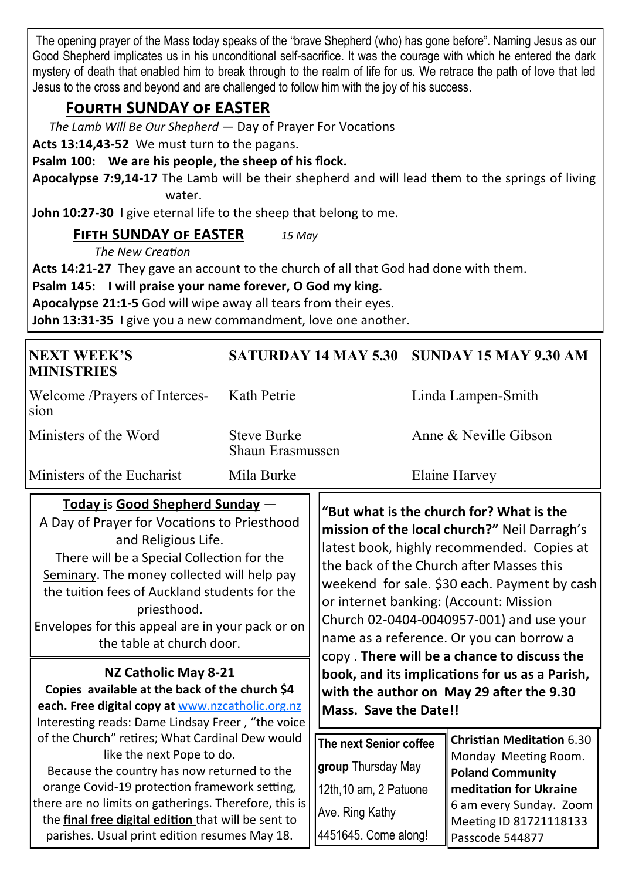The opening prayer of the Mass today speaks of the "brave Shepherd (who) has gone before". Naming Jesus as our Good Shepherd implicates us in his unconditional self-sacrifice. It was the courage with which he entered the dark mystery of death that enabled him to break through to the realm of life for us. We retrace the path of love that led Jesus to the cross and beyond and are challenged to follow him with the joy of his success.

# **Fourth SUNDAY of EASTER**

*The Lamb Will Be Our Shepherd —* Day of Prayer For Vocations

**Acts 13:14,43-52** We must turn to the pagans.

#### **Psalm 100: We are his people, the sheep of his flock.**

**Apocalypse 7:9,14-17** The Lamb will be their shepherd and will lead them to the springs of living water.

**John 10:27-30** I give eternal life to the sheep that belong to me.

#### **Fifth SUNDAY of EASTER** *15 May*

*The New Creation*

**Acts 14:21-27** They gave an account to the church of all that God had done with them.

**Psalm 145: I will praise your name forever, O God my king.**

**Apocalypse 21:1-5** God will wipe away all tears from their eyes.

**John 13:31-35** I give you a new commandment, love one another.

| <b>NEXT WEEK'S</b><br><b>MINISTRIES</b>                                                                                                                                                                                                                                                                                                                                                                                                                                                                                                                                                                                                                                                                                                                                                                                                                                                 |                                        | <b>SATURDAY 14 MAY 5.30</b>                                                                                                                                                                                                                                                                                                                                                                                                                                                                                                                |  | <b>SUNDAY 15 MAY 9.30 AM</b>                                                                                  |  |
|-----------------------------------------------------------------------------------------------------------------------------------------------------------------------------------------------------------------------------------------------------------------------------------------------------------------------------------------------------------------------------------------------------------------------------------------------------------------------------------------------------------------------------------------------------------------------------------------------------------------------------------------------------------------------------------------------------------------------------------------------------------------------------------------------------------------------------------------------------------------------------------------|----------------------------------------|--------------------------------------------------------------------------------------------------------------------------------------------------------------------------------------------------------------------------------------------------------------------------------------------------------------------------------------------------------------------------------------------------------------------------------------------------------------------------------------------------------------------------------------------|--|---------------------------------------------------------------------------------------------------------------|--|
| Welcome /Prayers of Interces-<br>sion                                                                                                                                                                                                                                                                                                                                                                                                                                                                                                                                                                                                                                                                                                                                                                                                                                                   | Kath Petrie                            |                                                                                                                                                                                                                                                                                                                                                                                                                                                                                                                                            |  | Linda Lampen-Smith                                                                                            |  |
| Ministers of the Word                                                                                                                                                                                                                                                                                                                                                                                                                                                                                                                                                                                                                                                                                                                                                                                                                                                                   | <b>Steve Burke</b><br>Shaun Erasmussen |                                                                                                                                                                                                                                                                                                                                                                                                                                                                                                                                            |  | Anne $\&$ Neville Gibson                                                                                      |  |
| Ministers of the Eucharist                                                                                                                                                                                                                                                                                                                                                                                                                                                                                                                                                                                                                                                                                                                                                                                                                                                              | Mila Burke                             |                                                                                                                                                                                                                                                                                                                                                                                                                                                                                                                                            |  | Elaine Harvey                                                                                                 |  |
| Today is Good Shepherd Sunday -<br>A Day of Prayer for Vocations to Priesthood<br>and Religious Life.<br>There will be a Special Collection for the<br>Seminary. The money collected will help pay<br>the tuition fees of Auckland students for the<br>priesthood.<br>Envelopes for this appeal are in your pack or on<br>the table at church door.<br>NZ Catholic May 8-21<br>Copies available at the back of the church \$4<br>each. Free digital copy at www.nzcatholic.org.nz<br>Interesting reads: Dame Lindsay Freer, "the voice<br>of the Church" retires; What Cardinal Dew would<br>like the next Pope to do.<br>Because the country has now returned to the<br>orange Covid-19 protection framework setting,<br>there are no limits on gatherings. Therefore, this is<br>the final free digital edition that will be sent to<br>parishes. Usual print edition resumes May 18. |                                        | "But what is the church for? What is the<br>mission of the local church?" Neil Darragh's<br>latest book, highly recommended. Copies at<br>the back of the Church after Masses this<br>weekend for sale. \$30 each. Payment by cash<br>or internet banking: (Account: Mission<br>Church 02-0404-0040957-001) and use your<br>name as a reference. Or you can borrow a<br>copy. There will be a chance to discuss the<br>book, and its implications for us as a Parish,<br>with the author on May 29 after the 9.30<br>Mass. Save the Date!! |  |                                                                                                               |  |
|                                                                                                                                                                                                                                                                                                                                                                                                                                                                                                                                                                                                                                                                                                                                                                                                                                                                                         |                                        | The next Senior coffee<br>group Thursday May<br>12th, 10 am, 2 Patuone                                                                                                                                                                                                                                                                                                                                                                                                                                                                     |  | <b>Christian Meditation 6.30</b><br>Monday Meeting Room.<br><b>Poland Community</b><br>meditation for Ukraine |  |
|                                                                                                                                                                                                                                                                                                                                                                                                                                                                                                                                                                                                                                                                                                                                                                                                                                                                                         |                                        | Ave. Ring Kathy<br>4451645. Come along!                                                                                                                                                                                                                                                                                                                                                                                                                                                                                                    |  | 6 am every Sunday. Zoom<br>Meeting ID 81721118133<br>Passcode 544877                                          |  |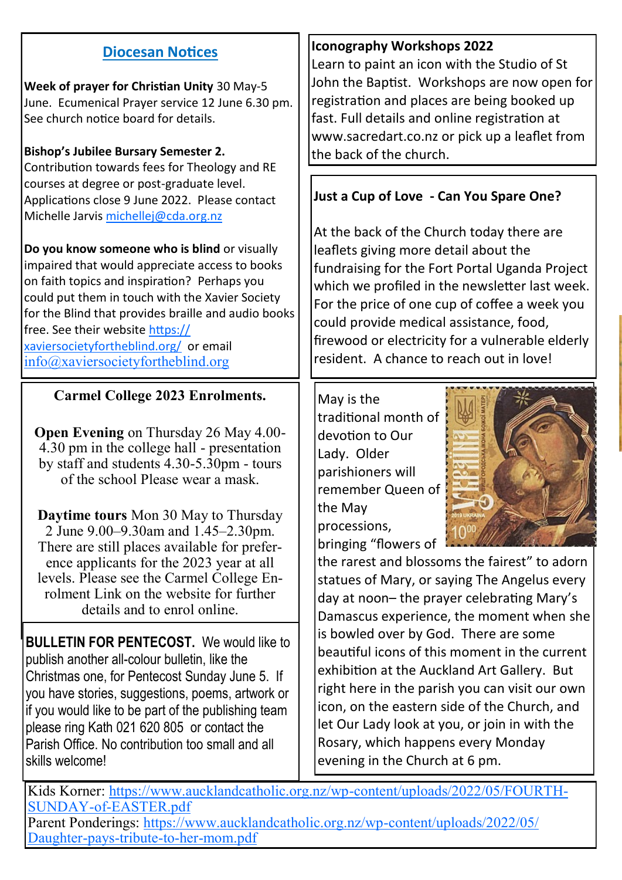## **Diocesan Notices**

**Week of prayer for Christian Unity** 30 May-5 June. Ecumenical Prayer service 12 June 6.30 pm. See church notice board for details.

#### **Bishop's Jubilee Bursary Semester 2.**

Contribution towards fees for Theology and RE courses at degree or post-graduate level. Applications close 9 June 2022. Please contact Michelle Jarvis [michellej@cda.org.nz](mailto:michellej@cda.org.nz)

**Do you know someone who is blind** or visually impaired that would appreciate access to books on faith topics and inspiration? Perhaps you could put them in touch with the Xavier Society for the Blind that provides braille and audio books free. See their website [https://](https://xaviersocietyfortheblind.org/) [xaviersocietyfortheblind.org/](https://xaviersocietyfortheblind.org/) or email [info@xaviersocietyfortheblind.org](mailto:info@xaviersocietyfortheblind.org)

#### **Carmel College 2023 Enrolments.**

**Open Evening** on Thursday 26 May 4.00- 4.30 pm in the college hall - presentation by staff and students 4.30-5.30pm - tours of the school Please wear a mask.

**Daytime tours** Mon 30 May to Thursday 2 June 9.00–9.30am and 1.45–2.30pm. There are still places available for preference applicants for the 2023 year at all levels. Please see the Carmel College Enrolment Link on the website for further details and to enrol online.

**BULLETIN FOR PENTECOST.** We would like to publish another all-colour bulletin, like the Christmas one, for Pentecost Sunday June 5. If you have stories, suggestions, poems, artwork or if you would like to be part of the publishing team please ring Kath 021 620 805 or contact the Parish Office. No contribution too small and all skills welcome!

#### **Iconography Workshops 2022**

Learn to paint an icon with the Studio of St John the Baptist. Workshops are now open for registration and places are being booked up fast. Full details and online registration at www.sacredart.co.nz or pick up a leaflet from the back of the church.

## **Just a Cup of Love - Can You Spare One?**

At the back of the Church today there are leaflets giving more detail about the fundraising for the Fort Portal Uganda Project which we profiled in the newsletter last week. For the price of one cup of coffee a week you could provide medical assistance, food, firewood or electricity for a vulnerable elderly resident. A chance to reach out in love!

May is the traditional month of devotion to Our Lady. Older parishioners will remember Queen of the May processions, bringing "flowers of



the rarest and blossoms the fairest" to adorn statues of Mary, or saying The Angelus every day at noon– the prayer celebrating Mary's Damascus experience, the moment when she is bowled over by God. There are some beautiful icons of this moment in the current exhibition at the Auckland Art Gallery. But right here in the parish you can visit our own icon, on the eastern side of the Church, and let Our Lady look at you, or join in with the Rosary, which happens every Monday evening in the Church at 6 pm.

Kids Korner: [https://www.aucklandcatholic.org.nz/wp](https://www.aucklandcatholic.org.nz/wp-content/uploads/2022/05/FOURTH-SUNDAY-of-EASTER.pdf)-content/uploads/2022/05/FOURTH-SUNDAY-of-[EASTER.pdf](https://www.aucklandcatholic.org.nz/wp-content/uploads/2022/05/FOURTH-SUNDAY-of-EASTER.pdf) Parent Ponderings: [https://www.aucklandcatholic.org.nz/wp](https://www.aucklandcatholic.org.nz/wp-content/uploads/2022/05/Daughter-pays-tribute-to-her-mom.pdf)-content/uploads/2022/05/

[Daughter](https://www.aucklandcatholic.org.nz/wp-content/uploads/2022/05/Daughter-pays-tribute-to-her-mom.pdf)-pays-tribute-to-her-mom.pdf